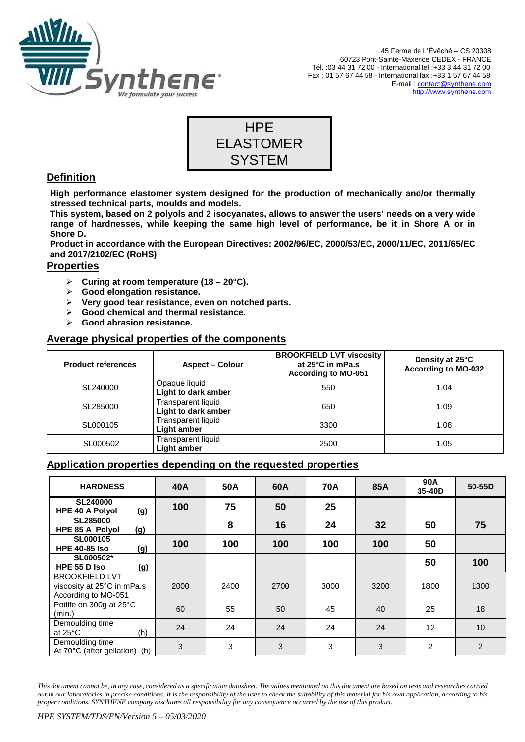

45 Ferme de L'Évêché – CS 20308 60723 Pont-Sainte-Maxence CEDEX - FRANCE Tél. :03 44 31 72 00 - International tel :+33 3 44 31 72 00 Fax : 01 57 67 44 58 - International fax :+33 1 57 67 44 58 E-mail : contact@synthene.com http://www.synthene.com



# **Definition**

**High performance elastomer system designed for the production of mechanically and/or thermally stressed technical parts, moulds and models.** 

**This system, based on 2 polyols and 2 isocyanates, allows to answer the users' needs on a very wide range of hardnesses, while keeping the same high level of performance, be it in Shore A or in Shore D.** 

**Product in accordance with the European Directives: 2002/96/EC, 2000/53/EC, 2000/11/EC, 2011/65/EC and 2017/2102/EC (RoHS)** 

# **Properties**

- **Curing at room temperature (18 20°C).**
- **Good elongation resistance.**
- **Very good tear resistance, even on notched parts.**
- **Good chemical and thermal resistance.**
- **Good abrasion resistance.**

## **Average physical properties of the components**

| <b>Product references</b> | <b>Aspect – Colour</b>                    | <b>BROOKFIELD LVT viscosity</b><br>at 25°C in mPa.s<br><b>According to MO-051</b> | Density at 25°C<br><b>According to MO-032</b> |  |
|---------------------------|-------------------------------------------|-----------------------------------------------------------------------------------|-----------------------------------------------|--|
| SL240000                  | Opaque liquid<br>Light to dark amber      | 550                                                                               | 1.04                                          |  |
| SL285000                  | Transparent liquid<br>Light to dark amber | 650                                                                               | 1.09                                          |  |
| SL000105                  | Transparent liquid<br>Light amber         | 3300                                                                              | 1.08                                          |  |
| SL000502                  | Transparent liquid<br>Light amber         | 2500                                                                              | 1.05                                          |  |

## **Application properties depending on the requested properties**

| <b>HARDNESS</b>                                                            | 40A  | 50A  | 60A  | <b>70A</b> | 85A  | 90A<br>35-40D  | 50-55D         |
|----------------------------------------------------------------------------|------|------|------|------------|------|----------------|----------------|
| <b>SL240000</b><br><b>HPE 40 A Polyol</b><br>(g)                           | 100  | 75   | 50   | 25         |      |                |                |
| <b>SL285000</b><br>(g)<br><b>HPE 85 A Polyol</b>                           |      | 8    | 16   | 24         | 32   | 50             | 75             |
| <b>SL000105</b><br><b>HPE 40-85 Iso</b><br>(g)                             | 100  | 100  | 100  | 100        | 100  | 50             |                |
| SL000502*<br>HPE 55 D Iso<br>(g)                                           |      |      |      |            |      | 50             | 100            |
| <b>BROOKFIELD LVT</b><br>viscosity at 25°C in mPa.s<br>According to MO-051 | 2000 | 2400 | 2700 | 3000       | 3200 | 1800           | 1300           |
| Potlife on 300g at 25°C<br>(min.)                                          | 60   | 55   | 50   | 45         | 40   | 25             | 18             |
| Demoulding time<br>(h)<br>at $25^{\circ}$ C                                | 24   | 24   | 24   | 24         | 24   | 12             | 10             |
| Demoulding time<br>At 70°C (after gellation) (h)                           | 3    | 3    | 3    | 3          | 3    | $\overline{2}$ | $\overline{2}$ |

*This document cannot be, in any case, considered as a specification datasheet. The values mentioned on this document are based on tests and researches carried out in our laboratories in precise conditions. It is the responsibility of the user to check the suitability of this material for his own application, according to his proper conditions. SYNTHENE company disclaims all responsibility for any consequence occurred by the use of this product.*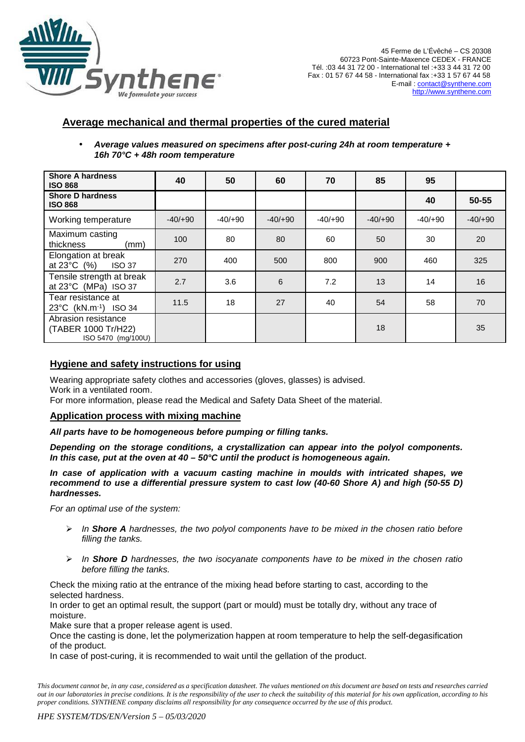

# **Average mechanical and thermal properties of the cured material**

• **Average values measured on specimens after post-curing 24h at room temperature + 16h 70°C + 48h room temperature**

| <b>Shore A hardness</b><br><b>ISO 868</b>                        | 40       | 50        | 60        | 70        | 85        | 95        |          |
|------------------------------------------------------------------|----------|-----------|-----------|-----------|-----------|-----------|----------|
| <b>Shore D hardness</b><br><b>ISO 868</b>                        |          |           |           |           |           | 40        | 50-55    |
| Working temperature                                              | $-40/00$ | $-40/+90$ | $-40/+90$ | $-40/+90$ | $-40/+90$ | $-40/+90$ | $-40/00$ |
| Maximum casting<br>thickness<br>(mm)                             | 100      | 80        | 80        | 60        | 50        | 30        | 20       |
| Elongation at break<br>at $23^{\circ}$ C $(%)$<br><b>ISO 37</b>  | 270      | 400       | 500       | 800       | 900       | 460       | 325      |
| Tensile strength at break<br>at 23°C (MPa) ISO 37                | 2.7      | 3.6       | 6         | 7.2       | 13        | 14        | 16       |
| Tear resistance at<br>23°C (kN.m <sup>-1</sup> ) ISO 34          | 11.5     | 18        | 27        | 40        | 54        | 58        | 70       |
| Abrasion resistance<br>(TABER 1000 Tr/H22)<br>ISO 5470 (mg/100U) |          |           |           |           | 18        |           | 35       |

## **Hygiene and safety instructions for using**

Wearing appropriate safety clothes and accessories (gloves, glasses) is advised. Work in a ventilated room.

For more information, please read the Medical and Safety Data Sheet of the material.

#### **Application process with mixing machine**

#### **All parts have to be homogeneous before pumping or filling tanks.**

**Depending on the storage conditions, a crystallization can appear into the polyol components. In this case, put at the oven at 40 – 50°C until the product is homogeneous again.** 

**In case of application with a vacuum casting machine in moulds with intricated shapes, we recommend to use a differential pressure system to cast low (40-60 Shore A) and high (50-55 D) hardnesses.** 

For an optimal use of the system:

- In **Shore A** hardnesses, the two polyol components have to be mixed in the chosen ratio before filling the tanks.
- In **Shore D** hardnesses, the two isocyanate components have to be mixed in the chosen ratio before filling the tanks.

Check the mixing ratio at the entrance of the mixing head before starting to cast, according to the selected hardness.

In order to get an optimal result, the support (part or mould) must be totally dry, without any trace of moisture.

Make sure that a proper release agent is used.

Once the casting is done, let the polymerization happen at room temperature to help the self-degasification of the product.

In case of post-curing, it is recommended to wait until the gellation of the product.

*This document cannot be, in any case, considered as a specification datasheet. The values mentioned on this document are based on tests and researches carried out in our laboratories in precise conditions. It is the responsibility of the user to check the suitability of this material for his own application, according to his proper conditions. SYNTHENE company disclaims all responsibility for any consequence occurred by the use of this product.*